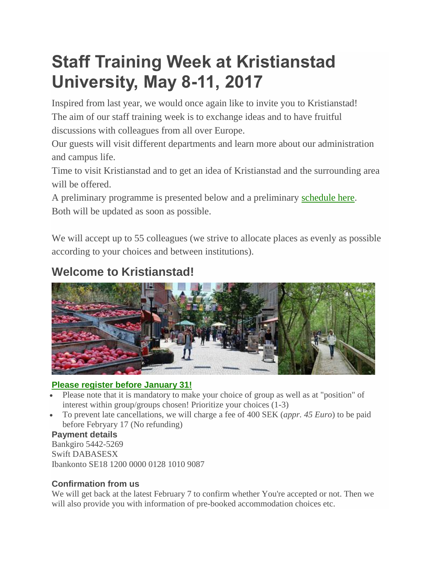# **Staff Training Week at Kristianstad University, May 8-11, 2017**

Inspired from last year, we would once again like to invite you to Kristianstad! The aim of our staff training week is to exchange ideas and to have fruitful discussions with colleagues from all over Europe.

Our guests will visit different departments and learn more about our administration and campus life.

Time to visit Kristianstad and to get an idea of Kristianstad and the surrounding area will be offered.

A preliminary programme is presented below and a preliminary [schedule here.](http://old.hkr.se/en/english-start-page/staff-training-week-at-kristianstad-university-may-16-20-2016/preliminary-schedule-to-be-updated/) Both will be updated as soon as possible.

We will accept up to 55 colleagues (we strive to allocate places as evenly as possible according to your choices and between institutions).

# **Welcome to Kristianstad!**



## **[Please register before January 31!](http://www.hkr.se/en/Collaboration/internationalisation/staff-training-week/register-for-staff-training-week-may-8-11-2017/)**

- Please note that it is mandatory to make your choice of group as well as at "position" of interest within group/groups chosen! Prioritize your choices (1-3)
- To prevent late cancellations, we will charge a fee of 400 SEK (*appr. 45 Euro*) to be paid before Febryary 17 (No refunding)

#### **Payment details**

Bankgiro 5442-5269 Swift DABASESX Ibankonto SE18 1200 0000 0128 1010 9087

## **Confirmation from us**

We will get back at the latest February 7 to confirm whether You're accepted or not. Then we will also provide you with information of pre-booked accommodation choices etc.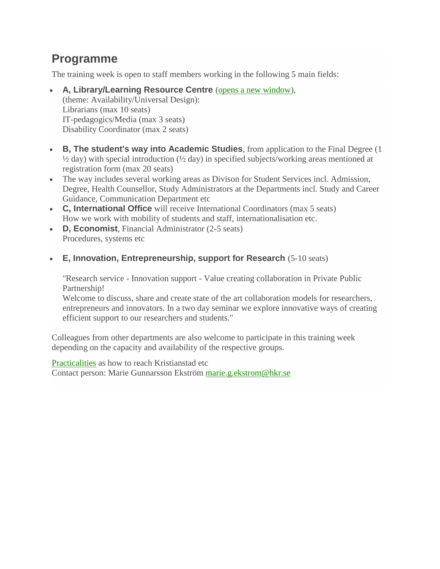## **Programme**

The training week is open to staff members working in the following 5 main fields:

- **A, Library/Learning Resource Centre** [\(opens a new window\)](http://www.hkr.se/en/study-at-hkr/service-and-support/library--learning-resource-centre/), (theme: Availability/Universal Design): Librarians (max 10 seats) IT-pedagogics/Media (max 3 seats) Disability Coordinator (max 2 seats)
- **B, The student's way into Academic Studies**, from application to the Final Degree (1  $\frac{1}{2}$  day) with special introduction ( $\frac{1}{2}$  day) in specified subjects/working areas mentioned at registration form (max 20 seats)
- The way includes several working areas as Divison for Student Services incl. Admission, Degree, Health Counsellor, Study Administrators at the Departments incl. Study and Career Guidance, Communication Department etc
- **C, International Office** will receive International Coordinators (max 5 seats) How we work with mobility of students and staff, internationalisation etc.
- **D, Economist**, Financial Administrator (2-5 seats) Procedures, systems etc
- **E, Innovation, Entrepreneurship, support for Research** (5-10 seats)

"Research service - Innovation support - Value creating collaboration in Private Public Partnership!

Welcome to discuss, share and create state of the art collaboration models for researchers, entrepreneurs and innovators. In a two day seminar we explore innovative ways of creating efficient support to our researchers and students."

Colleagues from other departments are also welcome to participate in this training week depending on the capacity and availability of the respective groups.

[Practicalities](http://www.hkr.se/en/Collaboration/internationalisation/staff-training-week/practicalities/) as how to reach Kristianstad etc Contact person: Marie Gunnarsson Ekström [marie.g.ekstrom@hkr.se](mailto:marie.g.ekstrom@hkr.se)